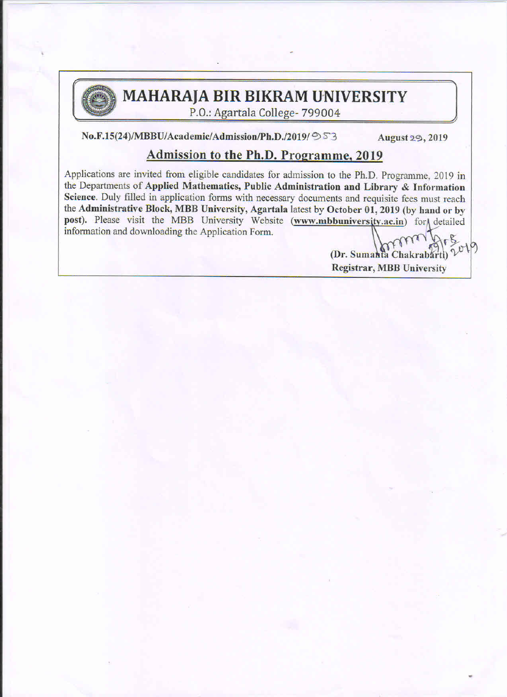

# MAHARAJA BIR BIKRAM UNIVERSITY

.>

.>

P.0.: Agartala College- 799004

 $No.F.15(24)/MBBU/Academic/Admission/Ph.D./2019/953$  August 29, 2019

## Admission to the Ph.D. Programme, 2019

Applications are invited from eligible candidates for admission to the Ph.D. Programme, 2019 in the Departments of Applied Mathematics, Public Administration and Library & Information Science. Duly filled in application forms with necessary documents and requisite fees must reach the Administrative Block, MBB University, Agartala latest by October 01, 2019 (by hand or by  $\blacksquare$  information and downloading the Application Form. post). Please visit the MBB University Website (www.mbbuniversity.ac.in) for detailed Applications are invited from eligible candidates for admission to the Ph.D. Programme, 2019 in<br>the Departments of Applied Mathematics, Public Administration and Library & Information<br>Science. Duly filled in application fo the Administrative Block, MBB University, Agartala latest by October 01, 2019 (by hand or by post). Please visit the MBB University Website (www.mbbuniversity.ac.in) for detailed information and downloading the Application P.O.: Agartala College- 799004<br>
No.F.15(24)/MBBU/Academic/Admission/Ph.D./2019/ $\Im$ 3 August 2.9, 2019<br>
Applications are invited from eligible candidates for admission to the Ph.D. Programme, 2019<br>
the Departments of Appli

¢E§  $(Dr. Sumahfa Chakrabart)$ <sup>2</sup> Registrar, MBB University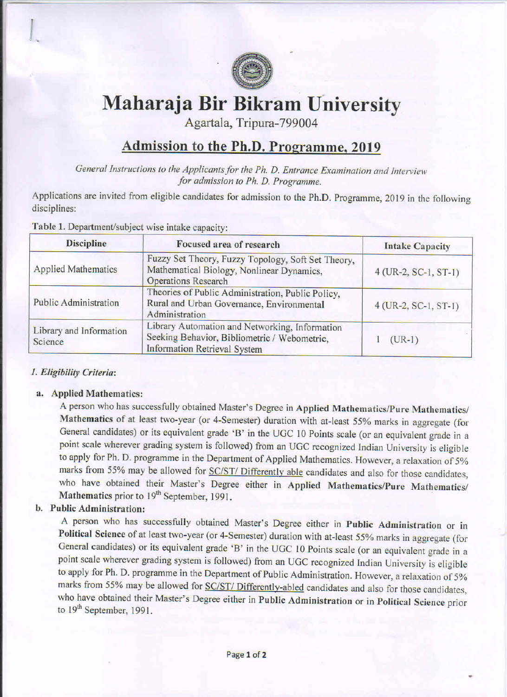

"

# Maharaja Bir Bikram University Admission to the Ph.D. Programme, 2019

Agartala, Tripura-799004

# Admission to the Ph.D. Programme, 2019

General Instructions to the Applicants for the Ph. D. Entrance Examination and Interview<br>for admission to Ph. D. Programme. for admission to Ph. D. Programme.

Applications are invited from eligible candidates for admission to the Ph.D. Programme, 2019 in the following disciplines:

| <b>Discipline</b>                  | Focused area of research                                                                                                                                                                                                                                                                                                                                                                                                                                                                                                                                                 | <b>Intake Capacity</b>   |
|------------------------------------|--------------------------------------------------------------------------------------------------------------------------------------------------------------------------------------------------------------------------------------------------------------------------------------------------------------------------------------------------------------------------------------------------------------------------------------------------------------------------------------------------------------------------------------------------------------------------|--------------------------|
| <b>Applied Mathematics</b>         | Fuzzy Set Theory, Fuzzy Topology, Soft Set Theory,<br>Mathematical Biology, Nonlinear Dynamics,<br><b>Operations Research</b>                                                                                                                                                                                                                                                                                                                                                                                                                                            | $4$ (UR-2, SC-1, ST-1)   |
| <b>Public Administration</b>       | Theories of Public Administration, Public Policy,<br>Rural and Urban Governance, Environmental<br>Administration                                                                                                                                                                                                                                                                                                                                                                                                                                                         | $4$ (UR-2, SC-1, ST-1)   |
| Library and Information<br>Science | Library Automation and Networking, Information<br>Seeking Behavior, Bibliometric / Webometric,<br><b>Information Retrieval System</b>                                                                                                                                                                                                                                                                                                                                                                                                                                    | $\mathbf{1}$<br>$(UR-1)$ |
|                                    | Mathematics of at least two-year (or 4-Semester) duration with at-least 55% marks in aggregate (for<br>General candidates) or its equivalent grade 'B' in the UGC 10 Points scale (or an equivalent grade in a                                                                                                                                                                                                                                                                                                                                                           |                          |
| b. Public Administration:          | point scale wherever grading system is followed) from an UGC recognized Indian University is eligible<br>to apply for Ph. D. programme in the Department of Applied Mathematics. However, a relaxation of 5%<br>marks from 55% may be allowed for SC/ST/ Differently able candidates and also for those candidates,<br>who have obtained their Master's Degree either in Applied Mathematics/Pure Mathematics/<br>Mathematics prior to 19 <sup>th</sup> September, 1991.<br>A person who has successfully obtained Master's Degree either in Public Administration or in |                          |

## I. Eligibility Criteria:

l

#### a. Applied Mathematics:

### b. Public Administration:

A person who has successfully obtained Master's Degree either in Public Administration or in Political Science of at least two-year (or 4-Semester) duration with at-least 55% marks in aggregate (for General candidates) or its equivalent grade 'B' in the UGC l0 Points scale (or an equivalent grade in <sup>a</sup> point scale wherever grading system is followed) from an UGC recognized Indian University is eligible to apply for Ph. D. programme in the Department of Public Administration. However, a relaxation of 5% marks from 55% may be allowed for SC/ST/ Differently-abled candidates and also for those candidates, who have obtained their Master's Degree either in Public Administration or in Political Science prior to 19<sup>th</sup> September, 1991.